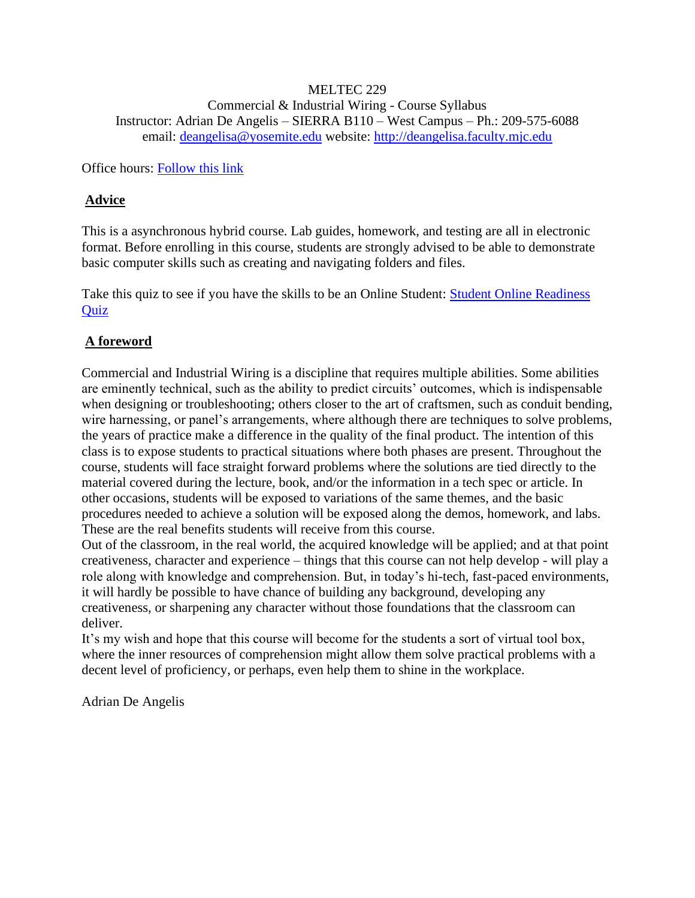## MELTEC 229 Commercial & Industrial Wiring - Course Syllabus Instructor: Adrian De Angelis – SIERRA B110 – West Campus – Ph.: 209-575-6088 email: [deangelisa@yosemite.edu](mailto:deangelisa@yosemite.edu) website: [http://deangelisa.faculty.mjc.edu](http://deangelisa.faculty.mjc.edu/)

Office hours: [Follow this link](http://deangelisa.faculty.mjc.edu/E_Tutor.html)

## **Advice**

This is a asynchronous hybrid course. Lab guides, homework, and testing are all in electronic format. Before enrolling in this course, students are strongly advised to be able to demonstrate basic computer skills such as creating and navigating folders and files.

Take this quiz to see if you have the skills to be an Online Student: Student Online Readiness **Ouiz** 

# **A foreword**

Commercial and Industrial Wiring is a discipline that requires multiple abilities. Some abilities are eminently technical, such as the ability to predict circuits' outcomes, which is indispensable when designing or troubleshooting; others closer to the art of craftsmen, such as conduit bending, wire harnessing, or panel's arrangements, where although there are techniques to solve problems, the years of practice make a difference in the quality of the final product. The intention of this class is to expose students to practical situations where both phases are present. Throughout the course, students will face straight forward problems where the solutions are tied directly to the material covered during the lecture, book, and/or the information in a tech spec or article. In other occasions, students will be exposed to variations of the same themes, and the basic procedures needed to achieve a solution will be exposed along the demos, homework, and labs. These are the real benefits students will receive from this course.

Out of the classroom, in the real world, the acquired knowledge will be applied; and at that point creativeness, character and experience – things that this course can not help develop - will play a role along with knowledge and comprehension. But, in today's hi-tech, fast-paced environments, it will hardly be possible to have chance of building any background, developing any creativeness, or sharpening any character without those foundations that the classroom can deliver.

It's my wish and hope that this course will become for the students a sort of virtual tool box, where the inner resources of comprehension might allow them solve practical problems with a decent level of proficiency, or perhaps, even help them to shine in the workplace.

Adrian De Angelis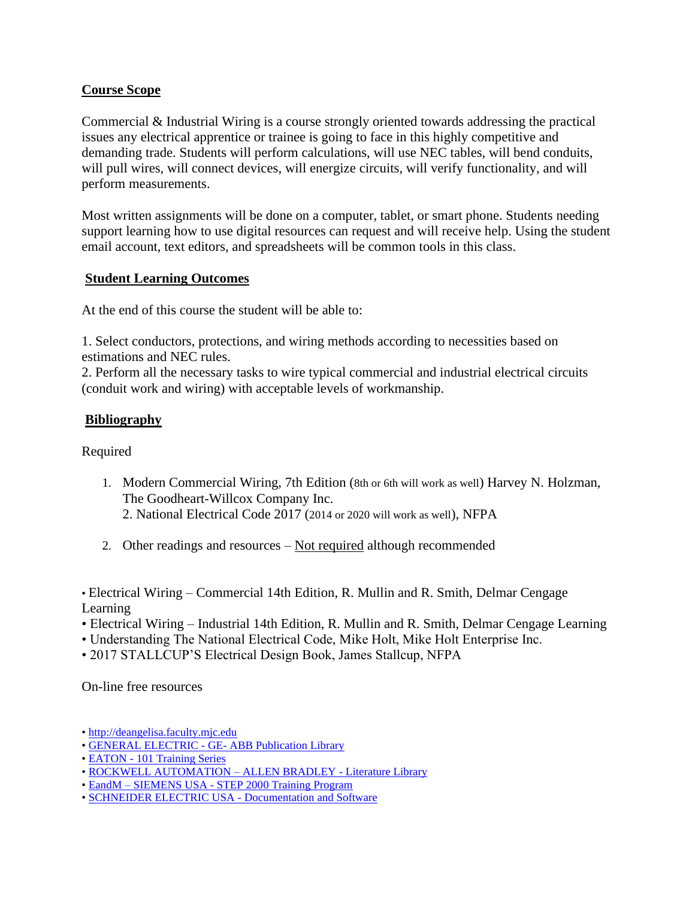## **Course Scope**

Commercial & Industrial Wiring is a course strongly oriented towards addressing the practical issues any electrical apprentice or trainee is going to face in this highly competitive and demanding trade. Students will perform calculations, will use NEC tables, will bend conduits, will pull wires, will connect devices, will energize circuits, will verify functionality, and will perform measurements.

Most written assignments will be done on a computer, tablet, or smart phone. Students needing support learning how to use digital resources can request and will receive help. Using the student email account, text editors, and spreadsheets will be common tools in this class.

## **Student Learning Outcomes**

At the end of this course the student will be able to:

1. Select conductors, protections, and wiring methods according to necessities based on estimations and NEC rules.

2. Perform all the necessary tasks to wire typical commercial and industrial electrical circuits (conduit work and wiring) with acceptable levels of workmanship.

## **Bibliography**

Required

- 1. Modern Commercial Wiring, 7th Edition (8th or 6th will work as well) Harvey N. Holzman, The Goodheart-Willcox Company Inc. 2. National Electrical Code 2017 (2014 or 2020 will work as well), NFPA
- 2. Other readings and resources  $-$  Not required although recommended

• Electrical Wiring – Commercial 14th Edition, R. Mullin and R. Smith, Delmar Cengage Learning

- Electrical Wiring Industrial 14th Edition, R. Mullin and R. Smith, Delmar Cengage Learning
- Understanding The National Electrical Code, Mike Holt, Mike Holt Enterprise Inc.
- 2017 STALLCUP'S Electrical Design Book, James Stallcup, NFPA

On-line free resources

- • [http://deangelisa.faculty.mjc.edu](http://deangelisa.faculty.mjc.edu/)
- • [GENERAL ELECTRIC -](https://electrification.us.abb.com/publibrary) GE- ABB Publication Library
- EATON [101 Training Series](https://www.eaton.com/us/en-us/support/training/101-basics-series.html)
- • [ROCKWELL AUTOMATION –](https://www.rockwellautomation.com/en-us/support/documentation/literature-library.html) ALLEN BRADLEY Literature Library
- EandM SIEMENS USA [STEP 2000 Training Program](https://www.eandm.com/Products/Content/Siemens/Training/Siemens_Courses.aspx)
- • [SCHNEIDER ELECTRIC USA -](https://www.se.com/us/en/download/) Documentation and Software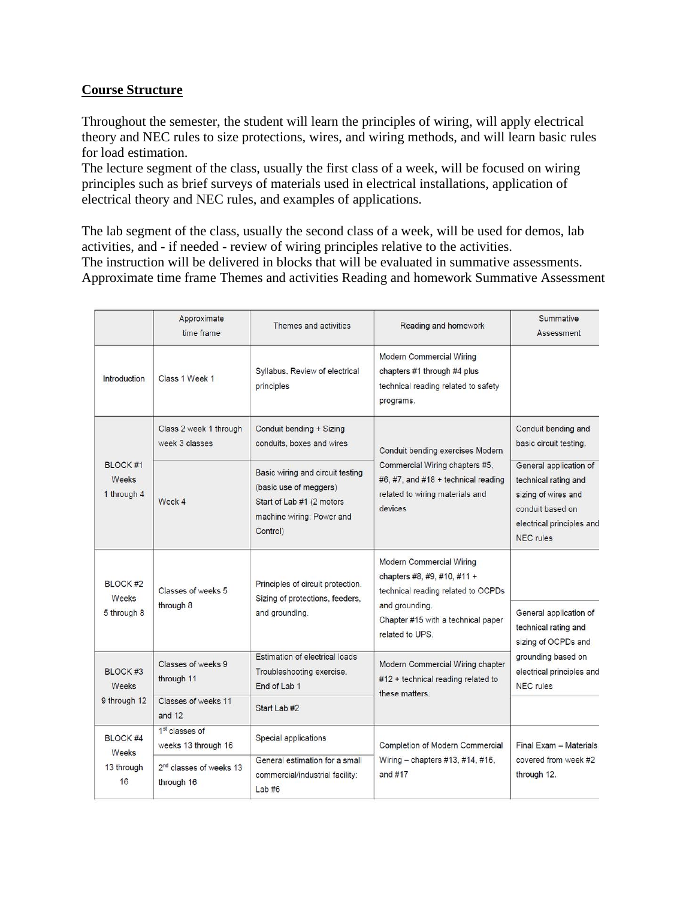## **Course Structure**

Throughout the semester, the student will learn the principles of wiring, will apply electrical theory and NEC rules to size protections, wires, and wiring methods, and will learn basic rules for load estimation.

The lecture segment of the class, usually the first class of a week, will be focused on wiring principles such as brief surveys of materials used in electrical installations, application of electrical theory and NEC rules, and examples of applications.

The lab segment of the class, usually the second class of a week, will be used for demos, lab activities, and - if needed - review of wiring principles relative to the activities. The instruction will be delivered in blocks that will be evaluated in summative assessments. Approximate time frame Themes and activities Reading and homework Summative Assessment

|                                              | Approximate<br>time frame                         | Themes and activities                                                                                                            | Reading and homework                                                                                                                                                            | Summative<br>Assessment                                                                                                                      |
|----------------------------------------------|---------------------------------------------------|----------------------------------------------------------------------------------------------------------------------------------|---------------------------------------------------------------------------------------------------------------------------------------------------------------------------------|----------------------------------------------------------------------------------------------------------------------------------------------|
| Introduction                                 | Class 1 Week 1                                    | Syllabus, Review of electrical<br>principles                                                                                     | <b>Modern Commercial Wiring</b><br>chapters #1 through #4 plus<br>technical reading related to safety<br>programs.                                                              |                                                                                                                                              |
| BLOCK #1<br>Weeks<br>1 through 4             | Class 2 week 1 through<br>week 3 classes          | Conduit bending + Sizing<br>conduits, boxes and wires                                                                            | Conduit bending exercises Modern<br>Commercial Wiring chapters #5,<br>#6, #7, and #18 + technical reading<br>related to wiring materials and<br>devices                         | Conduit bending and<br>basic circuit testing.                                                                                                |
|                                              | Week 4                                            | Basic wiring and circuit testing<br>(basic use of meggers)<br>Start of Lab #1 (2 motors<br>machine wiring: Power and<br>Control) |                                                                                                                                                                                 | General application of<br>technical rating and<br>sizing of wires and<br>conduit based on<br>electrical principles and<br><b>NEC</b> rules   |
| BLOCK <sub>#2</sub><br>Weeks<br>5 through 8  | Classes of weeks 5<br>through 8                   | Principles of circuit protection.<br>Sizing of protections, feeders,<br>and grounding.                                           | <b>Modern Commercial Wiring</b><br>chapters #8, #9, #10, #11 +<br>technical reading related to OCPDs<br>and grounding.<br>Chapter #15 with a technical paper<br>related to UPS. | General application of<br>technical rating and<br>sizing of OCPDs and<br>grounding based on<br>electrical principles and<br><b>NEC</b> rules |
| BLOCK <sub>#3</sub><br>Weeks<br>9 through 12 | Classes of weeks 9<br>through 11                  | Estimation of electrical loads<br>Troubleshooting exercise.<br>End of Lab 1                                                      | Modern Commercial Wiring chapter<br>#12 + technical reading related to<br>these matters.                                                                                        |                                                                                                                                              |
|                                              | Classes of weeks 11<br>and $12$                   | Start Lab #2                                                                                                                     |                                                                                                                                                                                 |                                                                                                                                              |
| <b>BLOCK #4</b><br>Weeks<br>13 through<br>16 | 1 <sup>st</sup> classes of<br>weeks 13 through 16 | Special applications                                                                                                             | Completion of Modern Commercial<br>Wiring - chapters #13, #14, #16,<br>and $#17$                                                                                                | Final Exam - Materials<br>covered from week #2<br>through 12.                                                                                |
|                                              | 2 <sup>nd</sup> classes of weeks 13<br>through 16 | General estimation for a small<br>commercial/industrial facility:<br>Lab#6                                                       |                                                                                                                                                                                 |                                                                                                                                              |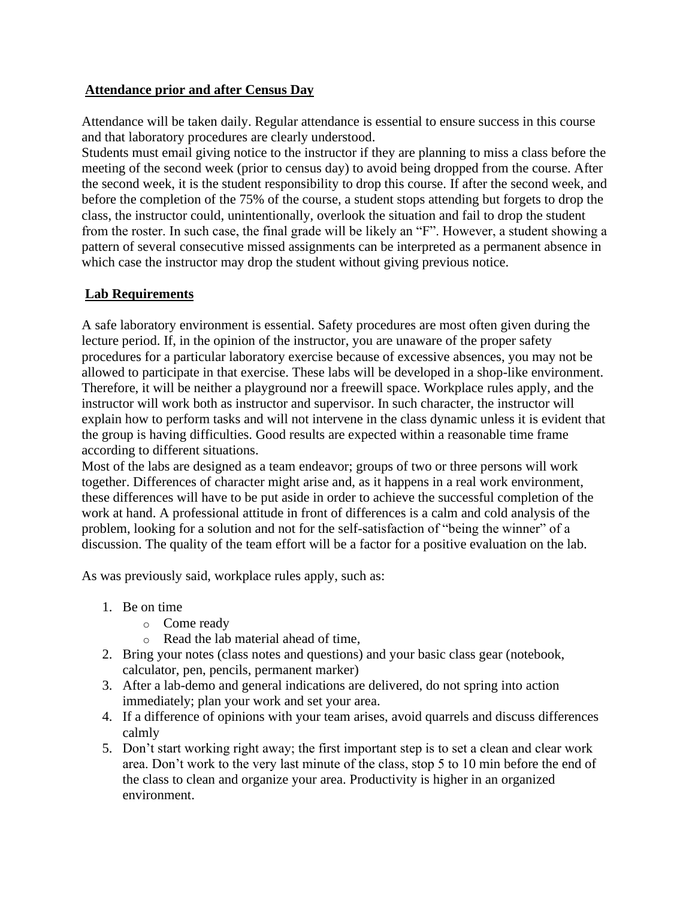## **Attendance prior and after Census Day**

Attendance will be taken daily. Regular attendance is essential to ensure success in this course and that laboratory procedures are clearly understood.

Students must email giving notice to the instructor if they are planning to miss a class before the meeting of the second week (prior to census day) to avoid being dropped from the course. After the second week, it is the student responsibility to drop this course. If after the second week, and before the completion of the 75% of the course, a student stops attending but forgets to drop the class, the instructor could, unintentionally, overlook the situation and fail to drop the student from the roster. In such case, the final grade will be likely an "F". However, a student showing a pattern of several consecutive missed assignments can be interpreted as a permanent absence in which case the instructor may drop the student without giving previous notice.

## **Lab Requirements**

A safe laboratory environment is essential. Safety procedures are most often given during the lecture period. If, in the opinion of the instructor, you are unaware of the proper safety procedures for a particular laboratory exercise because of excessive absences, you may not be allowed to participate in that exercise. These labs will be developed in a shop-like environment. Therefore, it will be neither a playground nor a freewill space. Workplace rules apply, and the instructor will work both as instructor and supervisor. In such character, the instructor will explain how to perform tasks and will not intervene in the class dynamic unless it is evident that the group is having difficulties. Good results are expected within a reasonable time frame according to different situations.

Most of the labs are designed as a team endeavor; groups of two or three persons will work together. Differences of character might arise and, as it happens in a real work environment, these differences will have to be put aside in order to achieve the successful completion of the work at hand. A professional attitude in front of differences is a calm and cold analysis of the problem, looking for a solution and not for the self-satisfaction of "being the winner" of a discussion. The quality of the team effort will be a factor for a positive evaluation on the lab.

As was previously said, workplace rules apply, such as:

- 1. Be on time
	- o Come ready
	- o Read the lab material ahead of time,
- 2. Bring your notes (class notes and questions) and your basic class gear (notebook, calculator, pen, pencils, permanent marker)
- 3. After a lab-demo and general indications are delivered, do not spring into action immediately; plan your work and set your area.
- 4. If a difference of opinions with your team arises, avoid quarrels and discuss differences calmly
- 5. Don't start working right away; the first important step is to set a clean and clear work area. Don't work to the very last minute of the class, stop 5 to 10 min before the end of the class to clean and organize your area. Productivity is higher in an organized environment.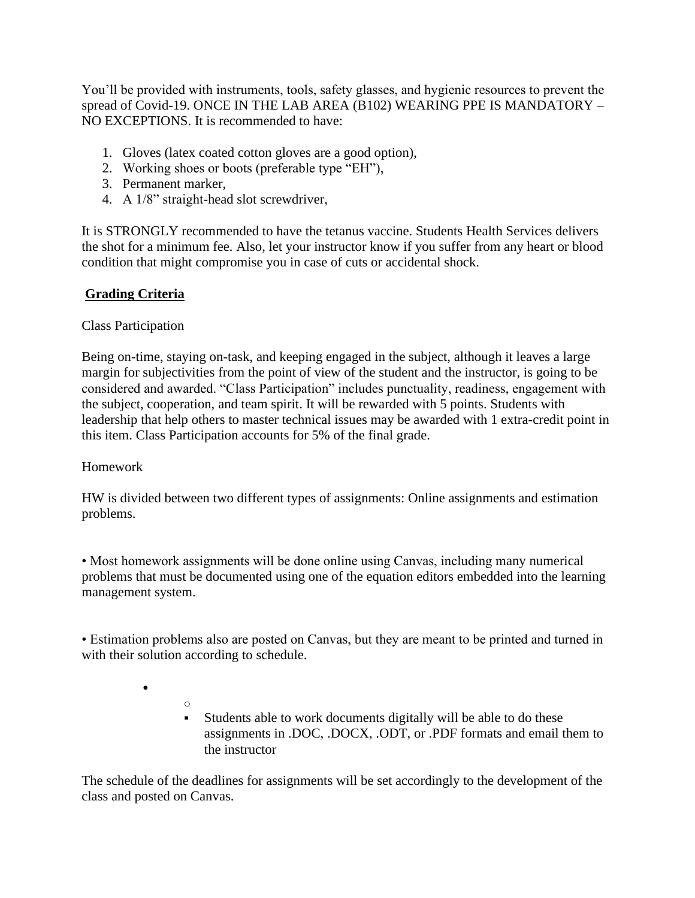You'll be provided with instruments, tools, safety glasses, and hygienic resources to prevent the spread of Covid-19. ONCE IN THE LAB AREA (B102) WEARING PPE IS MANDATORY – NO EXCEPTIONS. It is recommended to have:

- 1. Gloves (latex coated cotton gloves are a good option),
- 2. Working shoes or boots (preferable type "EH"),
- 3. Permanent marker,
- 4. A 1/8" straight-head slot screwdriver,

It is STRONGLY recommended to have the tetanus vaccine. Students Health Services delivers the shot for a minimum fee. Also, let your instructor know if you suffer from any heart or blood condition that might compromise you in case of cuts or accidental shock.

# **Grading Criteria**

## Class Participation

Being on-time, staying on-task, and keeping engaged in the subject, although it leaves a large margin for subjectivities from the point of view of the student and the instructor, is going to be considered and awarded. "Class Participation" includes punctuality, readiness, engagement with the subject, cooperation, and team spirit. It will be rewarded with 5 points. Students with leadership that help others to master technical issues may be awarded with 1 extra-credit point in this item. Class Participation accounts for 5% of the final grade.

## Homework

•

HW is divided between two different types of assignments: Online assignments and estimation problems.

• Most homework assignments will be done online using Canvas, including many numerical problems that must be documented using one of the equation editors embedded into the learning management system.

• Estimation problems also are posted on Canvas, but they are meant to be printed and turned in with their solution according to schedule.

> o Students able to work documents digitally will be able to do these assignments in .DOC, .DOCX, .ODT, or .PDF formats and email them to the instructor

The schedule of the deadlines for assignments will be set accordingly to the development of the class and posted on Canvas.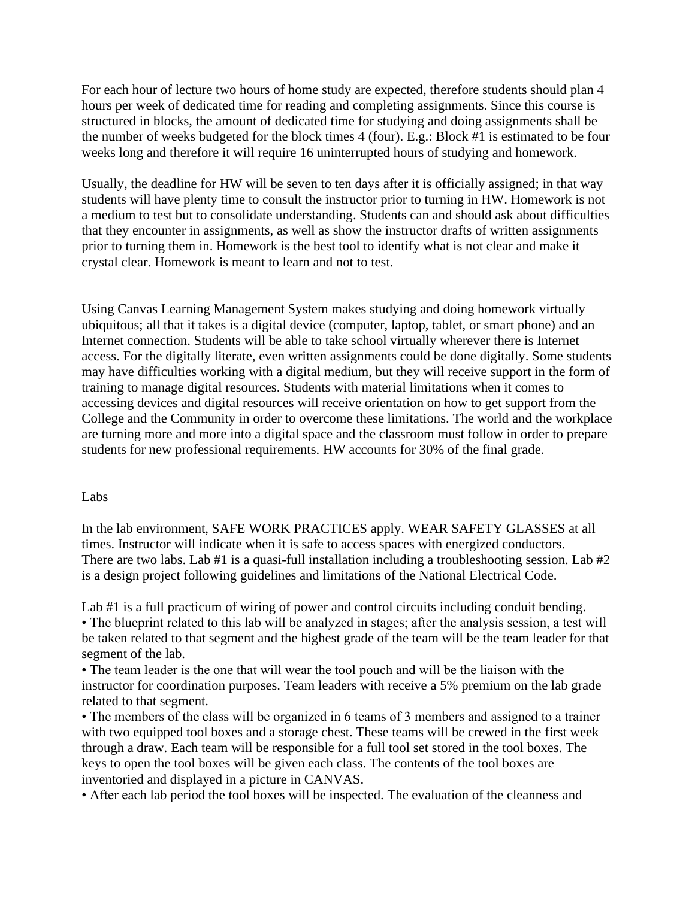For each hour of lecture two hours of home study are expected, therefore students should plan 4 hours per week of dedicated time for reading and completing assignments. Since this course is structured in blocks, the amount of dedicated time for studying and doing assignments shall be the number of weeks budgeted for the block times 4 (four). E.g.: Block #1 is estimated to be four weeks long and therefore it will require 16 uninterrupted hours of studying and homework.

Usually, the deadline for HW will be seven to ten days after it is officially assigned; in that way students will have plenty time to consult the instructor prior to turning in HW. Homework is not a medium to test but to consolidate understanding. Students can and should ask about difficulties that they encounter in assignments, as well as show the instructor drafts of written assignments prior to turning them in. Homework is the best tool to identify what is not clear and make it crystal clear. Homework is meant to learn and not to test.

Using Canvas Learning Management System makes studying and doing homework virtually ubiquitous; all that it takes is a digital device (computer, laptop, tablet, or smart phone) and an Internet connection. Students will be able to take school virtually wherever there is Internet access. For the digitally literate, even written assignments could be done digitally. Some students may have difficulties working with a digital medium, but they will receive support in the form of training to manage digital resources. Students with material limitations when it comes to accessing devices and digital resources will receive orientation on how to get support from the College and the Community in order to overcome these limitations. The world and the workplace are turning more and more into a digital space and the classroom must follow in order to prepare students for new professional requirements. HW accounts for 30% of the final grade.

#### Labs

In the lab environment, SAFE WORK PRACTICES apply. WEAR SAFETY GLASSES at all times. Instructor will indicate when it is safe to access spaces with energized conductors. There are two labs. Lab #1 is a quasi-full installation including a troubleshooting session. Lab #2 is a design project following guidelines and limitations of the National Electrical Code.

Lab #1 is a full practicum of wiring of power and control circuits including conduit bending. • The blueprint related to this lab will be analyzed in stages; after the analysis session, a test will be taken related to that segment and the highest grade of the team will be the team leader for that segment of the lab.

• The team leader is the one that will wear the tool pouch and will be the liaison with the instructor for coordination purposes. Team leaders with receive a 5% premium on the lab grade related to that segment.

• The members of the class will be organized in 6 teams of 3 members and assigned to a trainer with two equipped tool boxes and a storage chest. These teams will be crewed in the first week through a draw. Each team will be responsible for a full tool set stored in the tool boxes. The keys to open the tool boxes will be given each class. The contents of the tool boxes are inventoried and displayed in a picture in CANVAS.

• After each lab period the tool boxes will be inspected. The evaluation of the cleanness and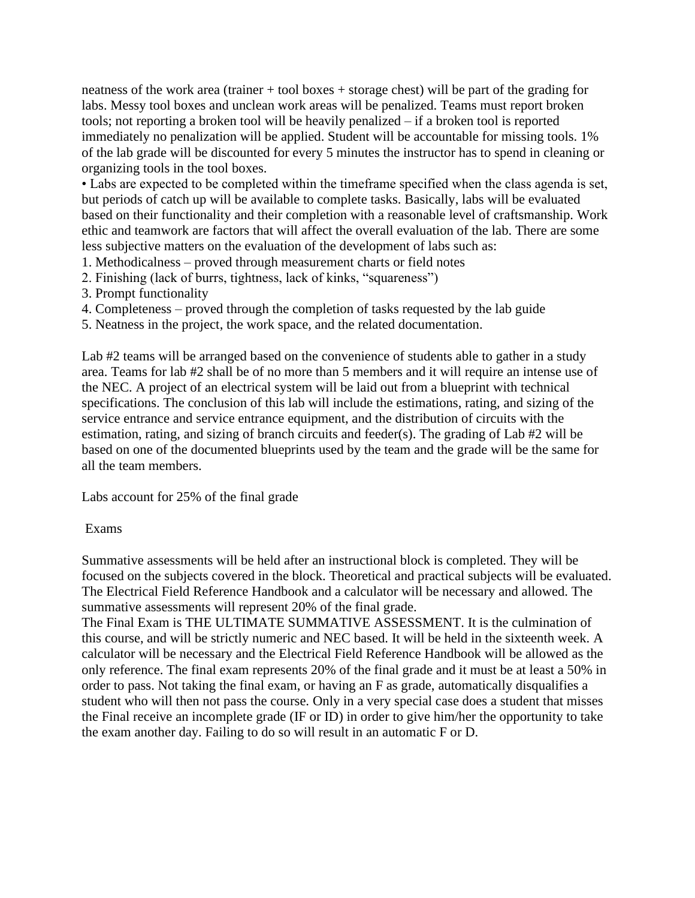neatness of the work area (trainer + tool boxes + storage chest) will be part of the grading for labs. Messy tool boxes and unclean work areas will be penalized. Teams must report broken tools; not reporting a broken tool will be heavily penalized – if a broken tool is reported immediately no penalization will be applied. Student will be accountable for missing tools. 1% of the lab grade will be discounted for every 5 minutes the instructor has to spend in cleaning or organizing tools in the tool boxes.

• Labs are expected to be completed within the timeframe specified when the class agenda is set, but periods of catch up will be available to complete tasks. Basically, labs will be evaluated based on their functionality and their completion with a reasonable level of craftsmanship. Work ethic and teamwork are factors that will affect the overall evaluation of the lab. There are some less subjective matters on the evaluation of the development of labs such as:

- 1. Methodicalness proved through measurement charts or field notes
- 2. Finishing (lack of burrs, tightness, lack of kinks, "squareness")
- 3. Prompt functionality
- 4. Completeness proved through the completion of tasks requested by the lab guide
- 5. Neatness in the project, the work space, and the related documentation.

Lab #2 teams will be arranged based on the convenience of students able to gather in a study area. Teams for lab #2 shall be of no more than 5 members and it will require an intense use of the NEC. A project of an electrical system will be laid out from a blueprint with technical specifications. The conclusion of this lab will include the estimations, rating, and sizing of the service entrance and service entrance equipment, and the distribution of circuits with the estimation, rating, and sizing of branch circuits and feeder(s). The grading of Lab #2 will be based on one of the documented blueprints used by the team and the grade will be the same for all the team members.

Labs account for 25% of the final grade

### Exams

Summative assessments will be held after an instructional block is completed. They will be focused on the subjects covered in the block. Theoretical and practical subjects will be evaluated. The Electrical Field Reference Handbook and a calculator will be necessary and allowed. The summative assessments will represent 20% of the final grade.

The Final Exam is THE ULTIMATE SUMMATIVE ASSESSMENT. It is the culmination of this course, and will be strictly numeric and NEC based. It will be held in the sixteenth week. A calculator will be necessary and the Electrical Field Reference Handbook will be allowed as the only reference. The final exam represents 20% of the final grade and it must be at least a 50% in order to pass. Not taking the final exam, or having an F as grade, automatically disqualifies a student who will then not pass the course. Only in a very special case does a student that misses the Final receive an incomplete grade (IF or ID) in order to give him/her the opportunity to take the exam another day. Failing to do so will result in an automatic F or D.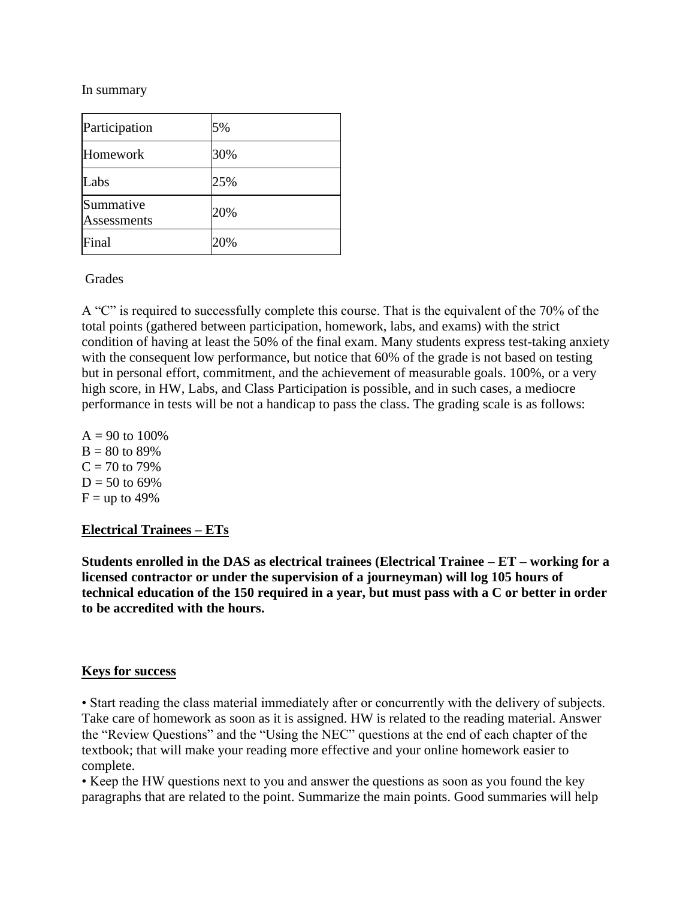In summary

| Participation            | 5%  |
|--------------------------|-----|
| Homework                 | 30% |
| Labs                     | 25% |
| Summative<br>Assessments | 20% |
| Final                    | 20% |

### **Grades**

A "C" is required to successfully complete this course. That is the equivalent of the 70% of the total points (gathered between participation, homework, labs, and exams) with the strict condition of having at least the 50% of the final exam. Many students express test-taking anxiety with the consequent low performance, but notice that 60% of the grade is not based on testing but in personal effort, commitment, and the achievement of measurable goals. 100%, or a very high score, in HW, Labs, and Class Participation is possible, and in such cases, a mediocre performance in tests will be not a handicap to pass the class. The grading scale is as follows:

 $A = 90$  to 100%  $B = 80$  to 89%  $C = 70$  to 79%  $D = 50$  to 69%  $F =$ up to 49%

## **Electrical Trainees – ETs**

**Students enrolled in the DAS as electrical trainees (Electrical Trainee – ET – working for a licensed contractor or under the supervision of a journeyman) will log 105 hours of technical education of the 150 required in a year, but must pass with a C or better in order to be accredited with the hours.**

### **Keys for success**

• Start reading the class material immediately after or concurrently with the delivery of subjects. Take care of homework as soon as it is assigned. HW is related to the reading material. Answer the "Review Questions" and the "Using the NEC" questions at the end of each chapter of the textbook; that will make your reading more effective and your online homework easier to complete.

• Keep the HW questions next to you and answer the questions as soon as you found the key paragraphs that are related to the point. Summarize the main points. Good summaries will help